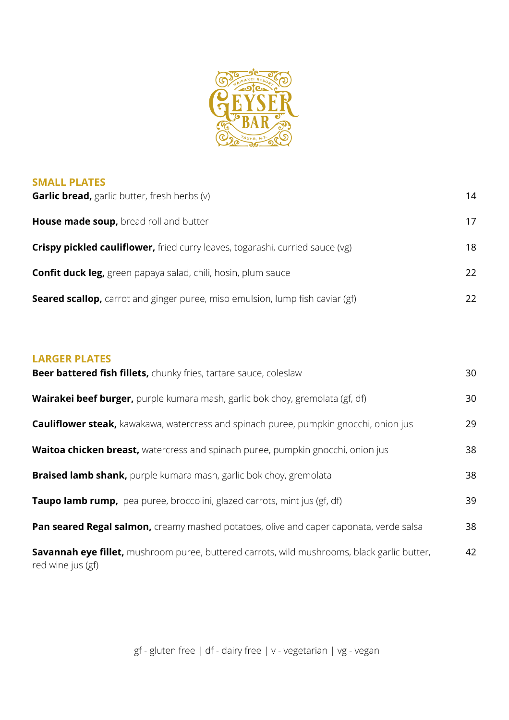

## **SMALL PLATES**

| <b>Garlic bread,</b> garlic butter, fresh herbs (v)                                  | 14  |
|--------------------------------------------------------------------------------------|-----|
| House made soup, bread roll and butter                                               | 17  |
| <b>Crispy pickled cauliflower,</b> fried curry leaves, togarashi, curried sauce (vg) | 18  |
| <b>Confit duck leg,</b> green papaya salad, chili, hosin, plum sauce                 | 22  |
| <b>Seared scallop,</b> carrot and ginger puree, miso emulsion, lump fish caviar (gf) | 22. |

## **LARGER PLATES**

| Beer battered fish fillets, chunky fries, tartare sauce, coleslaw                                                | 30 |
|------------------------------------------------------------------------------------------------------------------|----|
| <b>Wairakei beef burger,</b> purple kumara mash, garlic bok choy, gremolata (gf, df)                             | 30 |
| <b>Cauliflower steak,</b> kawakawa, watercress and spinach puree, pumpkin gnocchi, onion jus                     | 29 |
| Waitoa chicken breast, watercress and spinach puree, pumpkin gnocchi, onion jus                                  | 38 |
| <b>Braised lamb shank,</b> purple kumara mash, garlic bok choy, gremolata                                        | 38 |
| <b>Taupo lamb rump,</b> pea puree, broccolini, glazed carrots, mint jus (gf, df)                                 | 39 |
| Pan seared Regal salmon, creamy mashed potatoes, olive and caper caponata, verde salsa                           | 38 |
| Savannah eye fillet, mushroom puree, buttered carrots, wild mushrooms, black garlic butter,<br>red wine jus (gf) | 42 |

gf - gluten free | df - dairy free | v - vegetarian | vg - vegan